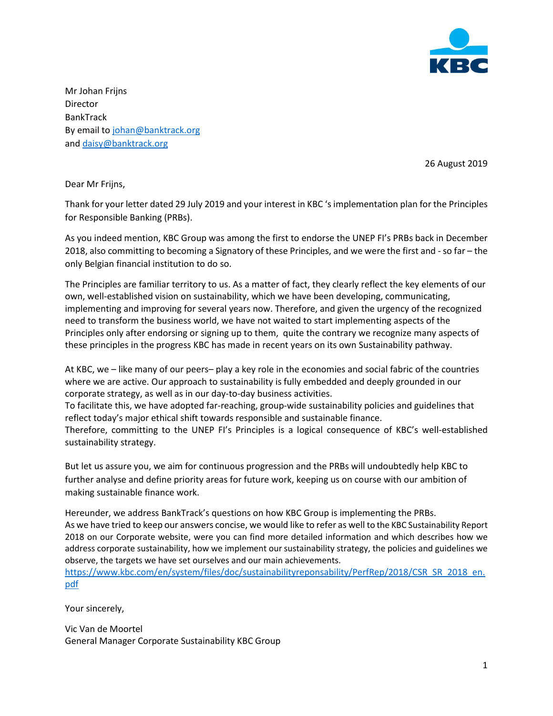

Mr Johan Frijns Director BankTrack By email t[o johan@banktrack.org](mailto:johan@banktrack.org) and [daisy@banktrack.org](mailto:daisy@banktrack.org)

26 August 2019

Dear Mr Frijns,

Thank for your letter dated 29 July 2019 and your interest in KBC 's implementation plan for the Principles for Responsible Banking (PRBs).

As you indeed mention, KBC Group was among the first to endorse the UNEP FI's PRBs back in December 2018, also committing to becoming a Signatory of these Principles, and we were the first and - so far – the only Belgian financial institution to do so.

The Principles are familiar territory to us. As a matter of fact, they clearly reflect the key elements of our own, well-established vision on sustainability, which we have been developing, communicating, implementing and improving for several years now. Therefore, and given the urgency of the recognized need to transform the business world, we have not waited to start implementing aspects of the Principles only after endorsing or signing up to them, quite the contrary we recognize many aspects of these principles in the progress KBC has made in recent years on its own Sustainability pathway.

At KBC, we – like many of our peers– play a key role in the economies and social fabric of the countries where we are active. Our approach to sustainability is fully embedded and deeply grounded in our corporate strategy, as well as in our day-to-day business activities.

To facilitate this, we have adopted far-reaching, group-wide sustainability policies and guidelines that reflect today's major ethical shift towards responsible and sustainable finance.

Therefore, committing to the UNEP FI's Principles is a logical consequence of KBC's well-established sustainability strategy.

But let us assure you, we aim for continuous progression and the PRBs will undoubtedly help KBC to further analyse and define priority areas for future work, keeping us on course with our ambition of making sustainable finance work.

Hereunder, we address BankTrack's questions on how KBC Group is implementing the PRBs. As we have tried to keep our answers concise, we would like to refer as well to the KBC Sustainability Report 2018 on our Corporate website, were you can find more detailed information and which describes how we address corporate sustainability, how we implement our sustainability strategy, the policies and guidelines we observe, the targets we have set ourselves and our main achievements.

[https://www.kbc.com/en/system/files/doc/sustainabilityreponsability/PerfRep/2018/CSR\\_SR\\_2018\\_en.](https://www.kbc.com/en/system/files/doc/sustainabilityreponsability/PerfRep/2018/CSR_SR_2018_en.pdf) [pdf](https://www.kbc.com/en/system/files/doc/sustainabilityreponsability/PerfRep/2018/CSR_SR_2018_en.pdf)

Your sincerely,

Vic Van de Moortel General Manager Corporate Sustainability KBC Group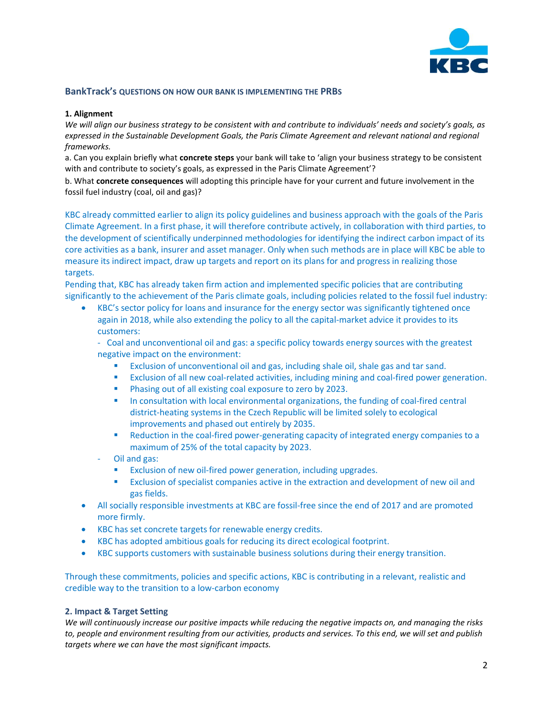

## **BankTrack's QUESTIONS ON HOW OUR BANK IS IMPLEMENTING THE PRBS**

#### **1. Alignment**

*We will align our business strategy to be consistent with and contribute to individuals' needs and society's goals, as expressed in the Sustainable Development Goals, the Paris Climate Agreement and relevant national and regional frameworks.* 

a. Can you explain briefly what **concrete steps** your bank will take to 'align your business strategy to be consistent with and contribute to society's goals, as expressed in the Paris Climate Agreement'?

b. What **concrete consequences** will adopting this principle have for your current and future involvement in the fossil fuel industry (coal, oil and gas)?

KBC already committed earlier to align its policy guidelines and business approach with the goals of the Paris Climate Agreement. In a first phase, it will therefore contribute actively, in collaboration with third parties, to the development of scientifically underpinned methodologies for identifying the indirect carbon impact of its core activities as a bank, insurer and asset manager. Only when such methods are in place will KBC be able to measure its indirect impact, draw up targets and report on its plans for and progress in realizing those targets.

Pending that, KBC has already taken firm action and implemented specific policies that are contributing significantly to the achievement of the Paris climate goals, including policies related to the fossil fuel industry:

• KBC's sector policy for loans and insurance for the energy sector was significantly tightened once again in 2018, while also extending the policy to all the capital-market advice it provides to its customers:

- Coal and unconventional oil and gas: a specific policy towards energy sources with the greatest negative impact on the environment:

- Exclusion of unconventional oil and gas, including shale oil, shale gas and tar sand.
- Exclusion of all new coal-related activities, including mining and coal-fired power generation.
- Phasing out of all existing coal exposure to zero by 2023.
- **■** In consultation with local environmental organizations, the funding of coal-fired central district-heating systems in the Czech Republic will be limited solely to ecological improvements and phased out entirely by 2035.
- Reduction in the coal-fired power-generating capacity of integrated energy companies to a maximum of 25% of the total capacity by 2023.
- Oil and gas:
	- Exclusion of new oil-fired power generation, including upgrades.
	- **EXCLUM** Exclusion of specialist companies active in the extraction and development of new oil and gas fields.
- All socially responsible investments at KBC are fossil-free since the end of 2017 and are promoted more firmly.
- KBC has set concrete targets for renewable energy credits.
- KBC has adopted ambitious goals for reducing its direct ecological footprint.
- KBC supports customers with sustainable business solutions during their energy transition.

Through these commitments, policies and specific actions, KBC is contributing in a relevant, realistic and credible way to the transition to a low-carbon economy

### **2. Impact & Target Setting**

*We will continuously increase our positive impacts while reducing the negative impacts on, and managing the risks to, people and environment resulting from our activities, products and services. To this end, we will set and publish targets where we can have the most significant impacts.*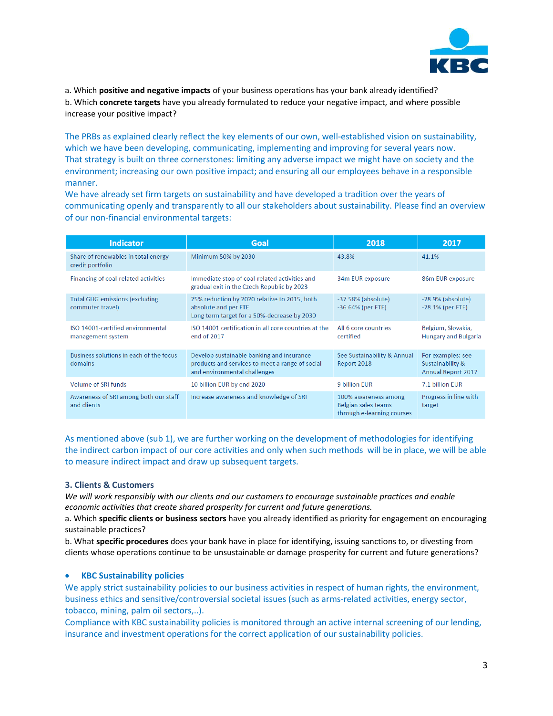

a. Which **positive and negative impacts** of your business operations has your bank already identified? b. Which **concrete targets** have you already formulated to reduce your negative impact, and where possible increase your positive impact?

The PRBs as explained clearly reflect the key elements of our own, well-established vision on sustainability, which we have been developing, communicating, implementing and improving for several years now. That strategy is built on three cornerstones: limiting any adverse impact we might have on society and the environment; increasing our own positive impact; and ensuring all our employees behave in a responsible manner.

We have already set firm targets on sustainability and have developed a tradition over the years of communicating openly and transparently to all our stakeholders about sustainability. Please find an overview of our non-financial environmental targets:

| <b>Indicator</b>                                          | Goal                                                                                                                         | 2018                                                                      | 2017                                                               |
|-----------------------------------------------------------|------------------------------------------------------------------------------------------------------------------------------|---------------------------------------------------------------------------|--------------------------------------------------------------------|
| Share of renewables in total energy<br>credit portfolio   | Minimum 50% by 2030                                                                                                          | 43.8%                                                                     | 41.1%                                                              |
| Financing of coal-related activities                      | Immediate stop of coal-related activities and<br>gradual exit in the Czech Republic by 2023                                  | 34m EUR exposure                                                          | 86m EUR exposure                                                   |
| <b>Total GHG emissions (excluding</b><br>commuter travel) | 25% reduction by 2020 relative to 2015, both<br>absolute and per FTE<br>Long term target for a 50%-decrease by 2030          | $-37.58\%$ (absolute)<br>$-36.64%$ (per FTE)                              | $-28.9%$ (absolute)<br>$-28.1\%$ (per FTE)                         |
| ISO 14001-certified environmental<br>management system    | ISO 14001 certification in all core countries at the<br>end of 2017                                                          | All 6 core countries<br>certified                                         | Belgium, Slovakia,<br><b>Hungary and Bulgaria</b>                  |
| Business solutions in each of the focus<br>domains        | Develop sustainable banking and insurance<br>products and services to meet a range of social<br>and environmental challenges | See Sustainability & Annual<br>Report 2018                                | For examples: see<br>Sustainability &<br><b>Annual Report 2017</b> |
| Volume of SRI funds                                       | 10 billion EUR by end 2020                                                                                                   | 9 billion EUR                                                             | 7.1 billion FUR                                                    |
| Awareness of SRI among both our staff<br>and clients      | Increase awareness and knowledge of SRI                                                                                      | 100% awareness among<br>Belgian sales teams<br>through e-learning courses | Progress in line with<br>target                                    |

As mentioned above (sub 1), we are further working on the development of methodologies for identifying the indirect carbon impact of our core activities and only when such methods will be in place, we will be able to measure indirect impact and draw up subsequent targets.

## **3. Clients & Customers**

*We will work responsibly with our clients and our customers to encourage sustainable practices and enable economic activities that create shared prosperity for current and future generations.* 

a. Which **specific clients or business sectors** have you already identified as priority for engagement on encouraging sustainable practices?

b. What **specific procedures** does your bank have in place for identifying, issuing sanctions to, or divesting from clients whose operations continue to be unsustainable or damage prosperity for current and future generations?

## • **KBC Sustainability policies**

We apply strict sustainability policies to our business activities in respect of human rights, the environment, business ethics and sensitive/controversial societal issues (such as arms-related activities, energy sector, tobacco, mining, palm oil sectors,..).

Compliance with KBC sustainability policies is monitored through an active internal screening of our lending, insurance and investment operations for the correct application of our sustainability policies.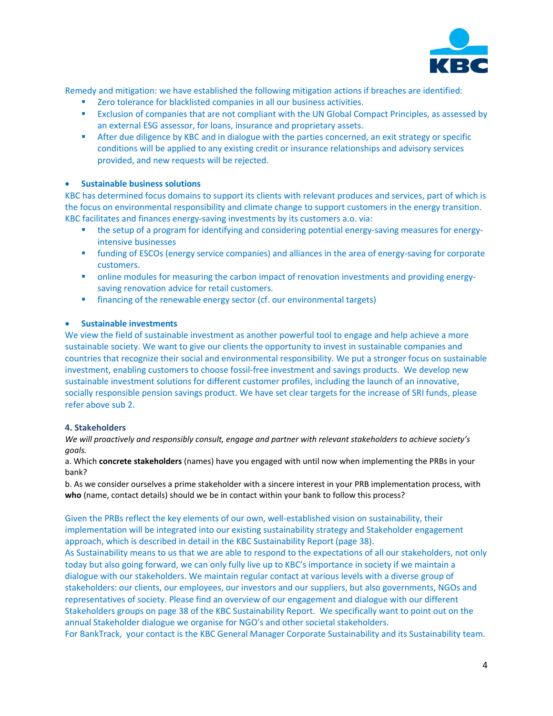

Remedy and mitigation: we have established the following mitigation actions if breaches are identified:

- Zero tolerance for blacklisted companies in all our business activities.
- **EXCLUM** Exclusion of companies that are not compliant with the UN Global Compact Principles, as assessed by an external ESG assessor, for loans, insurance and proprietary assets.
- **EXECUTE:** After due diligence by KBC and in dialogue with the parties concerned, an exit strategy or specific conditions will be applied to any existing credit or insurance relationships and advisory services provided, and new requests will be rejected.

# • **Sustainable business solutions**

KBC has determined focus domains to support its clients with relevant produces and services, part of which is the focus on environmental responsibility and climate change to support customers in the energy transition. KBC facilitates and finances energy-saving investments by its customers a.o. via:

- **the setup of a program for identifying and considering potential energy-saving measures for energy**intensive businesses
- **•** funding of ESCOs (energy service companies) and alliances in the area of energy-saving for corporate customers.
- **•** online modules for measuring the carbon impact of renovation investments and providing energysaving renovation advice for retail customers.
- **•** financing of the renewable energy sector (cf. our environmental targets)

## • **Sustainable investments**

We view the field of sustainable investment as another powerful tool to engage and help achieve a more sustainable society. We want to give our clients the opportunity to invest in sustainable companies and countries that recognize their social and environmental responsibility. We put a stronger focus on sustainable investment, enabling customers to choose fossil-free investment and savings products. We develop new sustainable investment solutions for different customer profiles, including the launch of an innovative, socially responsible pension savings product. We have set clear targets for the increase of SRI funds, please refer above sub 2.

## **4. Stakeholders**

*We will proactively and responsibly consult, engage and partner with relevant stakeholders to achieve society's goals.* 

a. Which **concrete stakeholders** (names) have you engaged with until now when implementing the PRBs in your bank?

b. As we consider ourselves a prime stakeholder with a sincere interest in your PRB implementation process, with **who** (name, contact details) should we be in contact within your bank to follow this process?

Given the PRBs reflect the key elements of our own, well-established vision on sustainability, their implementation will be integrated into our existing sustainability strategy and Stakeholder engagement approach, which is described in detail in the KBC Sustainability Report (page 38).

As Sustainability means to us that we are able to respond to the expectations of all our stakeholders, not only today but also going forward, we can only fully live up to KBC's importance in society if we maintain a dialogue with our stakeholders. We maintain regular contact at various levels with a diverse group of stakeholders: our clients, our employees, our investors and our suppliers, but also governments, NGOs and representatives of society. Please find an overview of our engagement and dialogue with our different Stakeholders groups on page 38 of the KBC Sustainability Report. We specifically want to point out on the annual Stakeholder dialogue we organise for NGO's and other societal stakeholders.

For BankTrack, your contact is the KBC General Manager Corporate Sustainability and its Sustainability team.